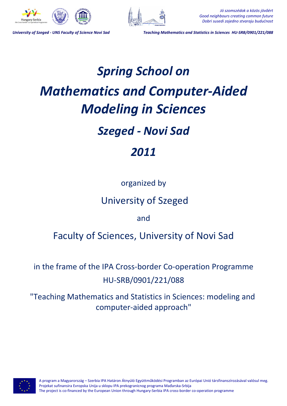



*Jó szomszédok a közös jövőért Good neighbours creating common future Dobri susedi zajedno stvaraju budućnost*

*University of Szeged - UNS Faculty of Science Novi Sad Teaching Mathematics and Statistics in Sciences HU-SRB/0901/221/088*

# *Spring School on Mathematics and Computer-Aided Modeling in Sciences*

## *Szeged - Novi Sad*

## *2011*

## organized by

## University of Szeged

and

## Faculty of Sciences, University of Novi Sad

in the frame of the IPA Cross-border Co-operation Programme HU-SRB/0901/221/088

"Teaching Mathematics and Statistics in Sciences: modeling and computer-aided approach"



A program a Magyarország – Szerbia IPA Határon Átnyúló Együttműködési Programban az Európai Unió társfinanszírozásával valósul meg. Projekat sufinansira Evropska Unija u sklopu IPA prekogranicnog programa Mađarska-Srbija The project is co-financed by the European Union through Hungary-Serbia IPA cross-border co-operation programme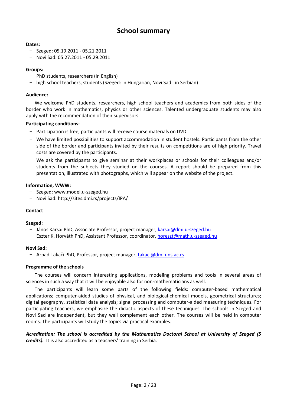## **School summary**

#### **Dates:**

- − Szeged: 05.19.2011 05.21.2011
- − Novi Sad: 05.27.2011 05.29.2011

#### **Groups:**

- − PhD students, researchers (In English)
- − high school teachers, students (Szeged: in Hungarian, Novi Sad: in Serbian)

#### **Audience:**

We welcome PhD students, researchers, high school teachers and academics from both sides of the border who work in mathematics, physics or other sciences. Talented undergraduate students may also apply with the recommendation of their supervisors.

#### **Participating conditions:**

- − Participation is free, participants will receive course materials on DVD.
- − We have limited possibilities to support accommodation in student hostels. Participants from the other side of the border and participants invited by their results on competitions are of high priority. Travel costs are covered by the participants.
- − We ask the participants to give seminar at their workplaces or schools for their colleagues and/or students from the subjects they studied on the courses. A report should be prepared from this presentation, illustrated with photographs, which will appear on the website of the project.

#### **Information, WWW:**

- − Szeged: www.model.u-szeged.hu
- − Novi Sad: http://sites.dmi.rs/projects/IPA/

#### **Contact**

#### **Szeged:**

- − János Karsai PhD, Associate Professor, project manager, karsai@dmi.u-szeged.hu
- − Eszter K. Horváth PhD, Assistant Professor, coordinator, horeszt@math.u-szeged.hu

#### **Novi Sad:**

− Arpad Takači PhD, Professor, project manager, takaci@dmi.uns.ac.rs

#### **Programme of the schools**

The courses will concern interesting applications, modeling problems and tools in several areas of sciences in such a way that it will be enjoyable also for non-mathematicians as well.

The participants will learn some parts of the following fields: computer-based mathematical applications; computer-aided studies of physical, and biological-chemical models, geometrical structures; digital geography, statistical data analysis; signal processing and computer-aided measuring techniques. For participating teachers, we emphasize the didactic aspects of these techniques. The schools in Szeged and Novi Sad are independent, but they well complement each other. The courses will be held in computer rooms. The participants will study the topics via practical examples.

*Acreditation: The school is accredited by the Mathematics Doctoral School at University of Szeged (5 credits).* It is also accredited as a teachers' training in Serbia.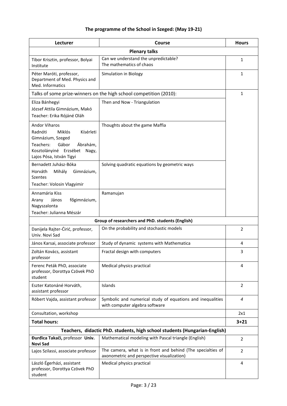## **The programme of the School in Szeged: (May 19-21)**

| Lecturer                                                                                                                                                                            | Course                                                                                                    | <b>Hours</b>   |  |  |
|-------------------------------------------------------------------------------------------------------------------------------------------------------------------------------------|-----------------------------------------------------------------------------------------------------------|----------------|--|--|
| <b>Plenary talks</b>                                                                                                                                                                |                                                                                                           |                |  |  |
| Tibor Krisztin, professor, Bolyai<br>Institute                                                                                                                                      | Can we understand the unpredictable?<br>The mathematics of chaos                                          | $\mathbf{1}$   |  |  |
| Péter Maróti, professor,<br>Department of Med. Physics and<br>Med. Informatics                                                                                                      | Simulation in Biology                                                                                     | $\mathbf{1}$   |  |  |
| Talks of some prize-winners on the high school competition (2010):                                                                                                                  |                                                                                                           |                |  |  |
| Eliza Bánhegyi<br>József Attila Gimnázium, Makó<br>Teacher: Erika Rójáné Oláh                                                                                                       | Then and Now - Triangulation                                                                              |                |  |  |
| <b>Andor Viharos</b><br>Radnóti<br><b>Miklós</b><br>Kísérleti<br>Gimnázium, Szeged<br>Gábor<br>Ábrahám,<br>Teachers:<br>Kosztolányiné Erzsébet<br>Nagy,<br>Lajos Pósa, István Tigyi | Thoughts about the game Maffia                                                                            |                |  |  |
| Bernadett Juhász-Bóka<br>Horváth<br>Mihály<br>Gimnázium,<br><b>Szentes</b><br>Teacher: Volosin Vlagyimir                                                                            | Solving quadratic equations by geometric ways                                                             |                |  |  |
| Annamária Kiss<br>János<br>főgimnázium,<br>Arany<br>Nagyszalonta<br>Teacher: Julianna Mészár                                                                                        | Ramanujan                                                                                                 |                |  |  |
| Group of researchers and PhD. students (English)                                                                                                                                    |                                                                                                           |                |  |  |
| Danijela Rajter-Ćirić, professor,<br>Univ. Novi Sad                                                                                                                                 | On the probability and stochastic models                                                                  | $\overline{2}$ |  |  |
| János Karsai, associate professor                                                                                                                                                   | Study of dynamic systems with Mathematica                                                                 | 4              |  |  |
| Zoltán Kovács, assistant<br>professor                                                                                                                                               | Fractal design with computers                                                                             | 3              |  |  |
| Ferenc Peták PhD, associate<br>professor, Dorottya Czövek PhD<br>student                                                                                                            | Medical physics practical                                                                                 | 4              |  |  |
| Eszter Katonáné Horváth,<br>assistant professor                                                                                                                                     | Islands                                                                                                   | $\overline{2}$ |  |  |
| Róbert Vajda, assistant professor                                                                                                                                                   | Symbolic and numerical study of equations and inequalities<br>with computer algebra software              | $\overline{4}$ |  |  |
| Consultation, workshop                                                                                                                                                              |                                                                                                           | 2x1            |  |  |
| <b>Total hours:</b>                                                                                                                                                                 |                                                                                                           | $3 + 21$       |  |  |
| Teachers, didactic PhD. students, high school students (Hungarian-English)                                                                                                          |                                                                                                           |                |  |  |
| Đurđica Takači, professor Univ.<br>Novi Sad                                                                                                                                         | Mathematical modeling with Pascal triangle (English)                                                      | $\overline{2}$ |  |  |
| Lajos Szilassi, associate professor                                                                                                                                                 | The camera, what is in front and behind (The specialties of<br>axonometric and perspective visualization) | $\overline{2}$ |  |  |
| László Égerházi, assistant<br>professor, Dorottya Czövek PhD<br>student                                                                                                             | Medical physics practical                                                                                 | 4              |  |  |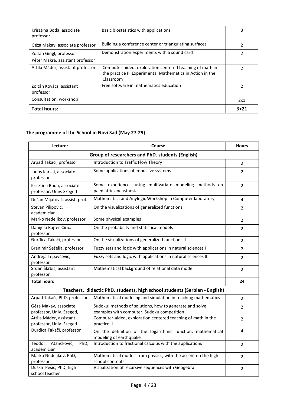| Consultation, workshop                                      |                                                                                                                                     | 2x1 |
|-------------------------------------------------------------|-------------------------------------------------------------------------------------------------------------------------------------|-----|
| Zoltán Kovács, assistant<br>professor                       | Free software in mathematics education                                                                                              |     |
| Attila Máder, assistant professor                           | Computer-aided, exploration centered teaching of math in<br>the practice II. Experimental Mathematics in Action in the<br>Classroom | າ   |
| Zoltán Gingl, professor<br>Péter Makra, assistant professor | Demonstration experiments with a sound card                                                                                         | 2   |
| Géza Makay, associate professor                             | Building a conference center or triangulating surfaces                                                                              |     |
| Krisztina Boda, associate<br>professor                      | Basic biostatistics with applications                                                                                               |     |

## **The programme of the School in Novi Sad (May 27-29)**

| Lecturer                                                                   | <b>Course</b>                                                                                         | <b>Hours</b>   |  |  |
|----------------------------------------------------------------------------|-------------------------------------------------------------------------------------------------------|----------------|--|--|
| Group of researchers and PhD. students (English)                           |                                                                                                       |                |  |  |
| Arpad Takači, professor                                                    | Introduction to Traffic Flow Theory                                                                   | $\overline{2}$ |  |  |
| János Karsai, associate<br>professor                                       | Some applications of impulsive systems                                                                | $\overline{2}$ |  |  |
| Krisztina Boda, associate<br>professor, Univ. Szeged                       | Some experiences using multivariate modeling methods en<br>paediatric aneasthesia                     | $\overline{2}$ |  |  |
| Dušan Mijatović, assist. prof.                                             | Mathematica and Anylogic Workshop in Computer laboratory                                              | 4              |  |  |
| Stevan Pilipović,<br>academician                                           | On the visualizations of generalized functions I                                                      | 2              |  |  |
| Marko Nedeljkov, professor                                                 | Some physical examples                                                                                | $\overline{2}$ |  |  |
| Danijela Rajter-Ćirić,<br>professor                                        | On the probability and statistical models                                                             | $\overline{2}$ |  |  |
| Đurđica Takači, professor                                                  | On the visualizations of generalized functions II                                                     | 2              |  |  |
| Branimir Šešelja, professor                                                | Fuzzy sets and logic with applications in natural sciences I                                          | $\overline{2}$ |  |  |
| Andreja Tepavčević,<br>professor                                           | Fuzzy sets and logic with applications in natural sciences II                                         | $\overline{2}$ |  |  |
| Srđan Škrbić, assistant<br>professor                                       | Mathematical background of relational data model                                                      | $\overline{2}$ |  |  |
| <b>Total hours</b>                                                         |                                                                                                       | 24             |  |  |
| Teachers, didactic PhD. students, high school students (Serbian - English) |                                                                                                       |                |  |  |
| Arpad Takači, PhD, professor                                               | Mathematical modeling and simulation in teaching mathematics                                          | $\overline{2}$ |  |  |
| Géza Makay, associate<br>professor, Univ. Szeged,                          | Sudoku: methods of solutions, how to generate and solve<br>examples with computer; Sudoku competition | $\overline{2}$ |  |  |
| Attila Máder, assistant<br>professor, Univ. Szeged                         | Computer-aided, exploration centered teaching of math in the<br>practice II.                          | $\overline{2}$ |  |  |
| Đurđica Takači, professor                                                  | On the definition of the logarithmic function, mathematical<br>modeling of earthquake                 | 4              |  |  |
| Teodor<br>Atancković,<br>PhD,<br>academician                               | Introduction to fractional calculus with the applications                                             | $\overline{2}$ |  |  |
| Marko Nedeljkov, PhD,<br>professor                                         | Mathematical models from physics, with the accent on the high<br>school contents                      | $\overline{2}$ |  |  |
| Duška Pešić, PhD, high<br>school teacher                                   | Visualization of recursive sequences with Geogebra                                                    | $\overline{2}$ |  |  |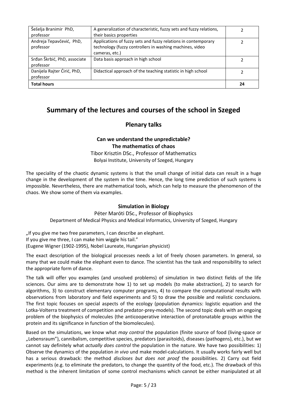| Šešelja Branimir PhD,                     | A generalization of characteristic, fuzzy sets and fuzzy relations,                                                                          |    |
|-------------------------------------------|----------------------------------------------------------------------------------------------------------------------------------------------|----|
| professor                                 | their basics properties                                                                                                                      |    |
| Andreja Tepavčević, PhD,<br>professor     | Applications of fuzzy sets and fuzzy relations in contemporary<br>technology (fuzzy controllers in washing machines, video<br>cameras, etc.) |    |
| Srđan Škrbić, PhD, associate<br>professor | Data basis approach in high school                                                                                                           |    |
| Danijela Rajter Ćirić, PhD,<br>professor  | Didactical approach of the teaching statistic in high school                                                                                 |    |
| <b>Total hours</b>                        |                                                                                                                                              | 24 |

## **Summary of the lectures and courses of the school in Szeged**

## **Plenary talks**

## **Can we understand the unpredictable? The mathematics of chaos**

Tibor Krisztin DSc., Professor of Mathematics Bolyai Institute, University of Szeged, Hungary

The speciality of the chaotic dynamic systems is that the small change of initial data can result in a huge change in the development of the system in the time. Hence, the long time prediction of such systems is impossible. Nevertheless, there are mathematical tools, which can help to measure the phenomenon of the chaos. We show some of them via examples.

### **Simulation in Biology**

Péter Maróti DSc., Professor of Biophysics Department of Medical Physics and Medical Informatics, University of Szeged, Hungary

"If you give me two free parameters, I can describe an elephant. If you give me three, I can make him wiggle his tail." (Eugene Wigner (1902-1995), Nobel Laureate, Hungarian physicist)

The exact description of the biological processes needs a lot of freely chosen parameters. In general, so many that we could make the elephant even to dance. The scientist has the task and responsibility to select the appropriate form of dance.

The talk will offer you examples (and unsolved problems) of simulation in two distinct fields of the life sciences. Our aims are to demonstrate how 1) to set up models (to make abstraction), 2) to search for algorithms, 3) to construct elementary computer programs, 4) to compare the computational results with observations from laboratory and field experiments and 5) to draw the possible and realistic conclusions. The first topic focuses on special aspects of the ecology (population dynamics: logistic equation and the Lotka-Volterra treatment of competition and predator-prey-models). The second topic deals with an ongoing problem of the biophysics of molecules (the anticooperative interaction of protonatable groups within the protein and its significance in function of the biomolecules).

Based on the simulations, we know what *may control* the population (finite source of food (living-space or "Lebensraum"), cannibalism, competitive species, predators (parasitoids), diseases (pathogens), etc.), but we cannot say definitely what *actually does control* the population in the nature. We have two possibilities: 1) Observe the dynamics of the population *in vivo* und make model-calculations. It usually works fairly well but has a serious drawback: the method *discloses but does not proof* the possibilities. 2) Carry out field experiments (e.g. to eliminate the predators, to change the quantity of the food, etc.). The drawback of this method is the inherent limitation of some control mechanisms which cannot be either manipulated at all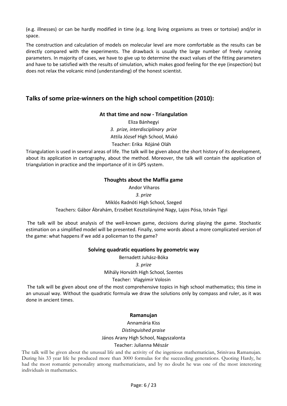(e.g. illnesses) or can be hardly modified in time (e.g. long living organisms as trees or tortoise) and/or in space.

The construction and calculation of models on molecular level are more comfortable as the results can be directly compared with the experiments. The drawback is usually the large number of freely running parameters. In majority of cases, we have to give up to determine the exact values of the fitting parameters and have to be satisfied with the results of simulation, which makes good feeling for the eye (inspection) but does not relax the volcanic mind (understanding) of the honest scientist.

## **Talks of some prize-winners on the high school competition (2010):**

#### **At that time and now - Triangulation**

Eliza Bánhegyi *3. prize, interdisciplinary prize* Attila József High School, Makó Teacher: Erika Rójáné Oláh

Triangulation is used in several areas of life. The talk will be given about the short history of its development, about its application in cartography, about the method. Moreover, the talk will contain the application of triangulation in practice and the importance of it in GPS system.

#### **Thoughts about the Maffia game**

 Andor Viharos *3. prize* Miklós Radnóti High School, Szeged Teachers: Gábor Ábrahám, Erzsébet Kosztolányiné Nagy, Lajos Pósa, István Tigyi

 The talk will be about analysis of the well-known game, decisions during playing the game. Stochastic estimation on a simplified model will be presented. Finally, some words about a more complicated version of the game: what happens if we add a policeman to the game?

#### **Solving quadratic equations by geometric way**

Bernadett Juhász-Bóka *3. prize* Mihály Horváth High School, Szentes

Teacher: Vlagyimir Volosin

 The talk will be given about one of the most comprehensive topics in high school mathematics; this time in an unusual way. Without the quadratic formula we draw the solutions only by compass and ruler, as it was done in ancient times.

#### **Ramanujan**

Annamária Kiss

*Distinguished praise* János Arany High School, Nagyszalonta

#### Teacher: Julianna Mészár

The talk will be given about the unusual life and the activity of the ingenious mathematician, Srinivasa Ramanujan. During his 33 year life he produced more than 3000 formulas for the succeeding generations. Quoting Hardy, he had the most romantic personality among mathematicians, and by no doubt he was one of the most interesting individuals in mathematics.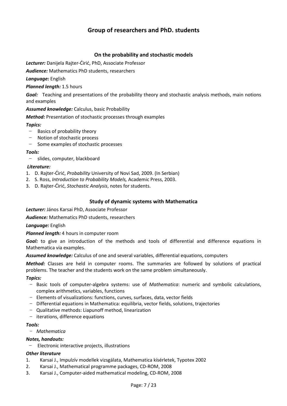## **Group of researchers and PhD. students**

#### **On the probability and stochastic models**

*Lecturer:* Danijela Rajter-Ćirić, PhD, Associate Professor

*Audience:* Mathematics PhD students, researchers

*Language:* English

*Planned length:* 1.5 hours

*Goal:* Teaching and presentations of the probability theory and stochastic analysis methods, main notions and examples

#### *Assumed knowledge:* Calculus, basic Probability

*Method:* Presentation of stochastic processes through examples

#### *Topics:*

- − Basics of probability theory
- − Notion of stochastic process
- − Some examples of stochastic processes

#### *Tools:*

− slides, computer, blackboard

#### *Literature:*

- 1. D. Rajter-Ćirić, *Probability* University of Novi Sad, 2009. (In Serbian)
- 2. S. Ross, *Introduction to Probability Models,* Academic Press, 2003.
- 3. D. Rajter-Ćirić, *Stochastic Analysis*, notes for students.

#### **Study of dynamic systems with Mathematica**

*Lecturer:* János Karsai PhD, Associate Professor

*Audience:* Mathematics PhD students, researchers

*Language:* English

*Planned length:* 4 hours in computer room

Goal: to give an introduction of the methods and tools of differential and difference equations in Mathematica via examples.

*Assumed knowledge:* Calculus of one and several variables, differential equations, computers

*Method:* Classes are held in computer rooms. The summaries are followed by solutions of practical problems. The teacher and the students work on the same problem simultaneously.

#### *Topics:*

- − Basic tools of computer-algebra systems: use of *Mathematica*: numeric and symbolic calculations, complex arithmetics, variables, functions
- − Elements of visualizations: functions, curves, surfaces, data, vector fields
- − Differential equations in Mathematica: equilibria, vector fields, solutions, trajectories
- − Qualitative methods: Liapunoff method, linearization
- − iterations, difference equations

#### *Tools:*

− *Mathematica*

#### *Notes, handouts:*

− Electronic interactive projects, illustrations

#### *Other literature*

- 1. Karsai J., Impulzív modellek vizsgálata, Mathematica kísérletek, Typotex 2002
- 2. Karsai J., Mathematical programme packages, CD-ROM, 2008
- 3. Karsai J., Computer-aided mathematical modeling, CD-ROM, 2008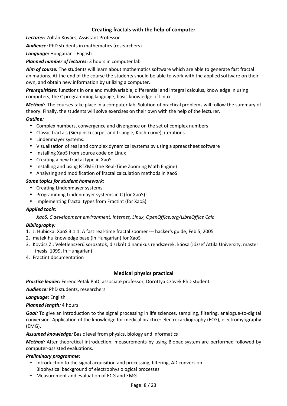### **Creating fractals with the help of computer**

*Lecturer:* Zoltán Kovács, Assistant Professor

*Audience:* PhD students in mathematics (researchers)

*Language:* Hungarian - English

*Planned number of lectures:* 3 hours in computer lab

*Aim of course:* The students will learn about mathematics software which are able to generate fast fractal animations. At the end of the course the students should be able to work with the applied software on their own, and obtain new information by utilizing a computer.

*Prerequisities:* functions in one and multivariable, differential and integral calculus, knowledge in using computers, the C programming language, basic knowledge of Linux

*Method:* The courses take place in a computer lab. Solution of practical problems will follow the summary of theory. Finally, the students will solve exercises on their own with the help of the lecturer.

#### *Outline:*

- Complex numbers, convergence and divergence on the set of complex numbers
- Classic fractals (Sierpinski carpet and triangle, Koch-curve), iterations
- Lindenmayer systems.
- Visualization of real and complex dynamical systems by using a spreadsheet software
- Installing XaoS from source code on Linux
- Creating a new fractal type in XaoS
- Installing and using RTZME (the Real-Time Zooming Math Engine)
- Analyzing and modification of fractal calculation methods in XaoS

#### *Some topics for student homework:*

- Creating Lindenmayer systems
- Programming Lindenmayer systems in C (for XaoS)
- Implementing fractal types from Fractint (for XaoS)

#### *Applied tools:*

− *XaoS, C development environment, internet, Linux, OpenOffice.org/LibreOffice Calc* 

#### *Bibliography:*

- 1. J. Hubicka: XaoS 3.1.1. A fast real-time fractal zoomer --- hacker's guide, Feb 5, 2005
- 2. matek.hu knowledge base (in Hungarian) for XaoS
- 3. Kovács Z.: Véletlenszerű sorozatok, diszkrét dinamikus rendszerek, káosz (József Attila University, master thesis, 1999, in Hungarian)
- 4. Fractint documentation

#### **Medical physics practical**

*Practice leader:* Ferenc Peták PhD, associate professor, Dorottya Czövek PhD student

*Audience:* PhD students, researchers

*Language:* English

*Planned length:* 4 hours

*Goal:* To give an introduction to the signal processing in life sciences, sampling, filtering, analogue-to-digital conversion. Application of the knowledge for medical practice: electrocardiography (ECG), electromyography (EMG).

*Assumed knowledge:* Basic level from physics, biology and informatics

*Method:* After theoretical introduction, measurements by using Biopac system are performed followed by computer-assisted evaluations.

#### *Preliminary programme:*

- − Introduction to the signal acquisition and processing, filtering, AD conversion
- − Biophysical background of electrophysiological processes
- − Measurement and evaluation of ECG and EMG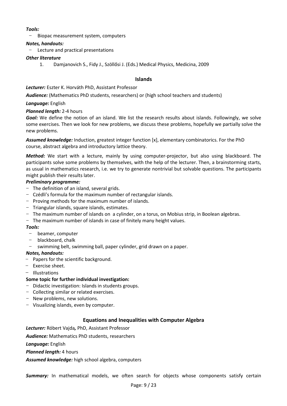#### *Tools:*

− Biopac measurement system, computers

#### *Notes, handouts:*

− Lecture and practical presentations

#### *Other literature*

1. Damjanovich S., Fidy J., Szöllősi J. (Eds.) Medical Physics, Medicina, 2009

#### **Islands**

*Lecturer:* Eszter K. Horváth PhD, Assistant Professor

*Audience:* (Mathematics PhD students, researchers) or (high school teachers and students)

#### *Language:* English

#### *Planned length:* 2-4 hours

*Goal:* We define the notion of an island. We list the research results about islands. Followingly, we solve some exercises. Then we look for new problems, we discuss these problems, hopefully we partially solve the new problems.

*Assumed knowledge:* Induction, greatest integer function [x], elementary combinatorics. For the PhD course, abstract algebra and introductory lattice theory.

*Method:* We start with a lecture, mainly by using computer-projector, but also using blackboard. The participants solve some problems by themselves, with the help of the lecturer. Then, a brainstorming starts, as usual in mathematics research, i.e. we try to generate nontrivial but solvable questions. The participants might publish their results later.

#### *Preliminary programme:*

- − The definition of an island, several grids.
- − Czédli's formula for the maximum number of rectangular islands.
- − Proving methods for the maximum number of islands.
- − Triangular islands, square islands, estimates.
- − The maximum number of islands on a cylinder, on a torus, on Mobius strip, in Boolean algebras.
- − The maximum number of islands in case of finitely many height values.

#### *Tools:*

- − beamer, computer
- − blackboard, chalk
- − swimming belt, swimming ball, paper cylinder, grid drawn on a paper.

#### *Notes, handouts:*

- − Papers for the scientific background.
- − Exercise sheet.
- − Illustrations

#### **Some topic for further individual investigation:**

- − Didactic investigation: Islands in students groups.
- − Collecting similar or related exercises.
- − New problems, new solutions.
- − Visualizing islands, even by computer.

#### **Equations and Inequalities with Computer Algebra**

*Lecturer:* Róbert Vajda*,* PhD, Assistant Professor

*Audience:* Mathematics PhD students, researchers

*Language:* English

*Planned length:* 4 hours

*Assumed knowledge:* high school algebra, computers

**Summary:** In mathematical models, we often search for objects whose components satisfy certain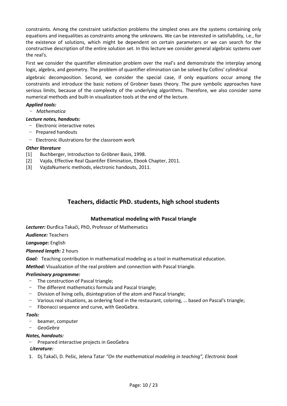constraints. Among the constraint satisfaction problems the simplest ones are the systems containing only equations and inequalities as constraints among the unknowns. We can be interested in satisfiability, i.e., for the existence of solutions, which might be dependent on certain parameters or we can search for the constructive description of the entire solution set. In this lecture we consider general algebraic systems over the real's.

First we consider the quantifier elimination problem over the real's and demonstrate the interplay among logic, algebra, and geometry. The problem of quantifier elimination can be solved by Collins' cylindrical

algebraic decomposition. Second, we consider the special case, if only equations occur among the constraints and introduce the basic notions of Grobner bases theory. The pure symbolic approaches have serious limits, because of the complexity of the underlying algorithms. Therefore, we also consider some numerical methods and built-in visualization tools at the end of the lecture.

#### *Applied tools:*

− *Mathematica* 

#### *Lecture notes, handouts:*

- − Electronic interactive notes
- − Prepared handouts
- − Electronic illustrations for the classroom work

#### *Other literature*

- [1] Buchberger, Introduction to Gröbner Basis, 1998.
- [2] Vajda, Effective Real Quantifer Elimination, Ebook Chapter, 2011.
- [3] VajdaNumeric methods, electronic handouts, 2011.

## **Teachers, didactic PhD. students, high school students**

#### **Mathematical modeling with Pascal triangle**

*Lecturer:* Đurđica Takači, PhD, Professor of Mathematics

*Audience:* Teachers

*Language:* English

#### *Planned length:* 2 hours

*Goal:* Teaching contribution in mathematical modeling as a tool in mathematical education.

*Method:* Visualization of the real problem and connection with Pascal triangle.

#### *Preliminary programme:*

- − The construction of Pascal triangle;
- − The different mathematics formula and Pascal triangle;
- − Division of living cells, disintegration of the atom and Pascal triangle;
- − Various real situations, as ordering food in the restaurant, coloring, … based on Pascal's triangle;
- − Fibonacci sequence and curve, with GeoGebra.

#### *Tools:*

- − beamer, computer
- − *GeoGebra*

#### *Notes, handouts:*

− Prepared interactive projects in GeoGebra

#### *Literature:*

1. Dj.Takači, D. Pešic, Jelena Tatar *"On the mathematical modeling in teaching", Electronic book*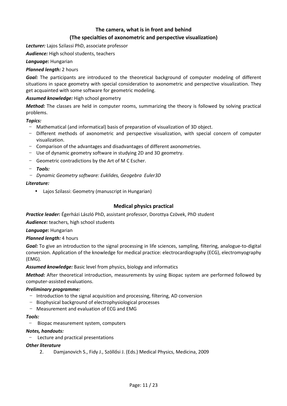## **The camera, what is in front and behind (The specialties of axonometric and perspective visualization)**

*Lecturer:* Lajos Szilassi PhD, associate professor

*Audience:* High school students, teachers

*Language:* Hungarian

#### *Planned length:* 2 hours

*Goal:* The participants are introduced to the theoretical background of computer modeling of different situations in space geometry with special consideration to axonometric and perspective visualization. They get acquainted with some software for geometric modeling.

#### *Assumed knowledge:* High school geometry

*Method:* The classes are held in computer rooms, summarizing the theory is followed by solving practical problems.

*Topics:* 

- − Mathematical (and informatical) basis of preparation of visualization of 3D object.
- − Different methods of axonometric and perspective visualization, with special concern of computer visualization.
- − Comparison of the advantages and disadvantages of different axonometries.
- − Use of dynamic geometry software in studying 2D and 3D geometry.
- − Geometric contradictions by the Art of M C Escher.
- − *Tools:*
- − *Dynamic Geometry software: Euklides, Geogebra Euler3D*

#### *Literature:*

• Lajos Szilassi: Geometry (manuscript in Hungarian)

#### **Medical physics practical**

*Practice leader:* Égerházi László PhD, assistant professor, Dorottya Czövek, PhD student

*Audience:* teachers, high school students

#### *Language:* Hungarian

#### *Planned length:* 4 hours

*Goal:* To give an introduction to the signal processing in life sciences, sampling, filtering, analogue-to-digital conversion. Application of the knowledge for medical practice: electrocardiography (ECG), electromyography (EMG).

#### *Assumed knowledge:* Basic level from physics, biology and informatics

*Method:* After theoretical introduction, measurements by using Biopac system are performed followed by computer-assisted evaluations.

#### *Preliminary programme:*

- − Introduction to the signal acquisition and processing, filtering, AD conversion
- − Biophysical background of electrophysiological processes
- − Measurement and evaluation of ECG and EMG

#### *Tools:*

− Biopac measurement system, computers

#### *Notes, handouts:*

− Lecture and practical presentations

#### *Other literature*

2. Damjanovich S., Fidy J., Szöllősi J. (Eds.) Medical Physics, Medicina, 2009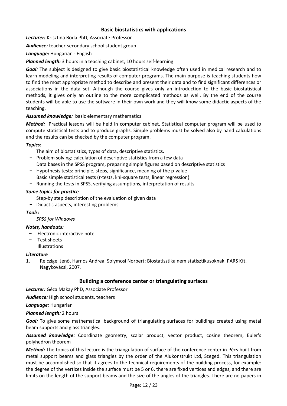#### **Basic biostatistics with applications**

*Lecturer:* Krisztina Boda PhD, Associate Professor

*Audience:* teacher-secondary school student group

*Language:* Hungarian - English

*Planned length:* 3 hours in a teaching cabinet, 10 hours self-learning

*Goal:* The subject is designed to give basic biostatistical knowledge often used in medical research and to learn modeling and interpreting results of computer programs. The main purpose is teaching students how to find the most appropriate method to describe and present their data and to find significant differences or associations in the data set. Although the course gives only an introduction to the basic biostatistical methods, it gives only an outline to the more complicated methods as well. By the end of the course students will be able to use the software in their own work and they will know some didactic aspects of the teaching.

#### *Assumed knowledge:* basic elementary mathematics

*Method:* Practical lessons will be held in computer cabinet. Statistical computer program will be used to compute statistical tests and to produce graphs. Simple problems must be solved also by hand calculations and the results can be checked by the computer program.

#### *Topics:*

- − The aim of biostatistics, types of data, descriptive statistics.
- − Problem solving: calculation of descriptive statistics from a few data
- − Data bases in the SPSS program, preparing simple figures based on descriptive statistics
- − Hypothesis tests: principle, steps, significance, meaning of the p-value
- − Basic simple statistical tests (*t*-tests, khi-square tests, linear regression)
- − Running the tests in SPSS, verifying assumptions, interpretation of results

#### *Some topics for practice*

- − Step-by step description of the evaluation of given data
- − Didactic aspects, interesting problems

#### *Tools:*

− *SPSS for Windows*

#### *Notes, handouts:*

- − Electronic interactive note
- − Test sheets
- − Illustrations

#### *Literature*

1. Reiczigel Jenő, Harnos Andrea, Solymosi Norbert: Biostatisztika nem statisztikusoknak. PARS Kft. Nagykovácsi, 2007*.*

#### **Building a conference center or triangulating surfaces**

*Lecturer:* Géza Makay PhD, Associate Professor

*Audience:* High school students, teachers

*Language:* Hungarian

#### *Planned length:* 2 hours

*Goal:* To give some mathematical background of triangulating surfaces for buildings created using metal beam supports and glass triangles.

*Assumed knowledge:* Coordinate geometry, scalar product, vector product, cosine theorem, Euler's polyhedron theorem

*Method:* The topics of this lecture is the triangulation of surface of the conference center in Pécs built from metal support beams and glass triangles by the order of the Alukonstrukt Ltd, Szeged. This triangulation must be accomplished so that it agrees to the technical requirements of the building process, for example: the degree of the vertices inside the surface must be 5 or 6, there are fixed vertices and edges, and there are limits on the length of the support beams and the size of the angles of the triangles. There are no papers in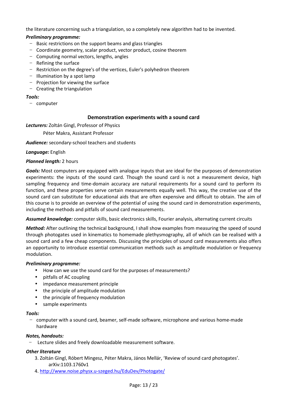the literature concerning such a triangulation, so a completely new algorithm had to be invented.

#### *Preliminary programme:*

- − Basic restrictions on the support beams and glass triangles
- − Coordinate geometry, scalar product, vector product, cosine theorem
- − Computing normal vectors, lengths, angles
- − Refining the surface
- − Restriction on the degree's of the vertices, Euler's polyhedron theorem
- − Illumination by a spot lamp
- − Projection for viewing the surface
- − Creating the triangulation

#### *Tools:*

− computer

#### **Demonstration experiments with a sound card**

*Lecturers:* Zoltán Gingl, Professor of Physics

Péter Makra, Assistant Professor

*Audience:* secondary-school teachers and students

*Language:* English

#### *Planned length:* 2 hours

*Goals:* Most computers are equipped with analogue inputs that are ideal for the purposes of demonstration experiments: the inputs of the sound card. Though the sound card is not a measurement device, high sampling frequency and time-domain accuracy are natural requirements for a sound card to perform its function, and these properties serve certain measurements equally well. This way, the creative use of the sound card can substitute for educational aids that are often expensive and difficult to obtain. The aim of this course is to provide an overview of the potential of using the sound card in demonstration experiments, including the methods and pitfalls of sound card measurements.

*Assumed knowledge:* computer skills, basic electronics skills, Fourier analysis, alternating current circuits

*Method:* After outlining the technical background, I shall show examples from measuring the speed of sound through photogates used in kinematics to homemade plethysmography, all of which can be realised with a sound card and a few cheap components. Discussing the principles of sound card measurements also offers an opportunity to introduce essential communication methods such as amplitude modulation or frequency modulation.

#### *Preliminary programme:*

- How can we use the sound card for the purposes of measurements?
- pitfalls of AC coupling
- impedance measurement principle
- the principle of amplitude modulation
- the principle of frequency modulation
- sample experiments

#### *Tools:*

− computer with a sound card, beamer, self-made software, microphone and various home-made hardware

#### *Notes, handouts:*

− Lecture slides and freely downloadable measurement software.

#### *Other literature*

- 3. Zoltán Gingl, Róbert Mingesz, Péter Makra, János Mellár, 'Review of sound card photogates'. arXiv:1103.1760v1
- 4. http://www.noise.physx.u-szeged.hu/EduDev/Photogate/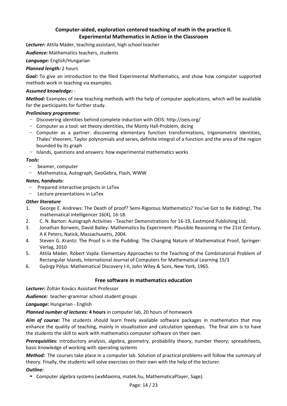## **Computer-aided, exploration centered teaching of math in the practice II. Experimental Mathematics in Action in the Classroom**

*Lecturer:* Attila Máder, teaching assistant, high school teacher

*Audience:* Mathematics teachers, students

*Language:* English/Hungarian

#### *Planned length:* 2 hours

*Goal:* To give an introduction to the filed Experimental Mathematics, and show how computer supported methods work in teaching via examples.

#### *Assumed knowledge:* -

*Method:* Examples of new teaching methods with the help of computer applications, which will be available for the participants for further study.

#### *Preliminary programme:*

- − Discovering identities behind complete induction with OEIS: http://oeis.org/
- − Computer as a tool: set theory identities, the Monty Hall-Problem, dicing
- − Computer as a partner: discovering elementary function transformations, trigonometric identities, Thales' theorem, Taylor polynomials and series, definite integral of a function and the area of the region bounded by its graph
- − Islands, questions and answers: how experimental mathematics works

#### *Tools:*

- − beamer, computer
- − Mathematica, Autograph, GeoGebra, Flash, WWW

#### *Notes, handouts:*

- − Prepared interactive projects in LaTex
- − Lecture presentations in LaTex

#### *Other literature*

- 1. George E. Andrews: The Death of proof? Semi-Rigorous Mathematics? You've Got to Be Kidding!, The mathematical intelligencer 16(4), 16-18.
- 2. C. N. Barton: Autograph Activities Teacher Demonstrations for 16-19, Eastmond Publishing Ltd.
- 3. Jonathan Borwein, David Bailey: Mathematics by Experiment: Plausible Reasoning in the 21st Century, A K Peters, Natick, Massachusetts, 2004.
- 4. Steven G. Krantz: The Proof is in the Pudding: The Changing Nature of Mathematical Proof, Springer-Verlag, 2010
- 5. Attila Máder, Róbert Vajda: Elementary Approaches to the Teaching of the Combinatorial Problem of Rectangular Islands, International Journal of Computers for Mathematical Learning 15/3
- 6. György Pólya: Mathematical Discovery I-II, John Wiley & Sons, New York, 1965.

#### **Free software in mathematics education**

*Lecturer:* Zoltán Kovács Assistant Professor

*Audience:* teacher-grammar school student groups

*Language:* Hungarian - English

*Planned number of lectures:* **4 hours** in computer lab, 20 hours of homework

*Aim of course:* The students should learn freely available software packages in mathematics that may enhance the quality of teaching, mainly in visualization and calculation speedups. The final aim is to have the students the skill to work with mathematics computer software on their own.

*Prerequisities:* introductory analysis, algebra, geometry, probability theory, number theory; spreadsheets, basic knowledge of working with operating systems

*Method:* The courses take place in a computer lab. Solution of practical problems will follow the summary of theory. Finally, the students will solve exercises on their own with the help of the lecturer.

#### *Outline:*

• Computer algebra systems (wxMaxima, matek.hu, MathematicaPlayer, Sage).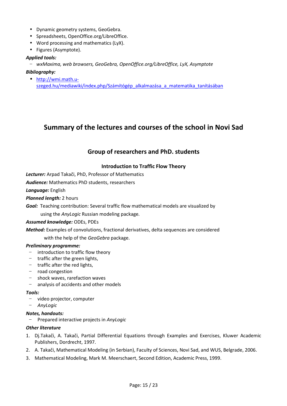- Dynamic geometry systems, GeoGebra.
- Spreadsheets, OpenOffice.org/LibreOffice.
- Word processing and mathematics (LyX).
- Figures (Asymptote).

#### *Applied tools:*

− *wxMaxima, web browsers, GeoGebra, OpenOffice.org/LibreOffice, LyX, Asymptote* 

#### *Bibliography:*

• http://wmi.math.uszeged.hu/mediawiki/index.php/Számítógép\_alkalmazása\_a\_matematika\_tanításában

## **Summary of the lectures and courses of the school in Novi Sad**

## **Group of researchers and PhD. students**

#### **Introduction to Traffic Flow Theory**

*Lecturer:* Arpad Takači, PhD, Professor of Mathematics

*Audience:* Mathematics PhD students, researchers

*Language:* English

*Planned length:* 2 hours

*Goal:* Teaching contribution: Several traffic flow mathematical models are visualized by

using the *AnyLogic* Russian modeling package*.*

*Assumed knowledge:* ODEs, PDEs

*Method:* Examples of convolutions, fractional derivatives, delta sequences are considered

with the help of the *GeoGebra* package.

#### *Preliminary programme:*

- − introduction to traffic flow theory
- − traffic after the green lights,
- − traffic after the red lights,
- − road congestion
- − shock waves, rarefaction waves
- − analysis of accidents and other models

#### *Tools:*

- − video projector, computer
- − *AnyLogic*

#### *Notes, handouts:*

− Prepared interactive projects in *AnyLogic*

#### *Other literature*

- 1. Dj.Takači, A. Takači, Partial Differential Equations through Examples and Exercises, Kluwer Academic Publishers, Dordrecht, 1997.
- 2. A. Takači, Mathematical Modeling (in Serbian), Faculty of Sciences, Novi Sad, and WUS, Belgrade, 2006.
- 3. Mathematical Modeling, Mark M. Meerschaert, Second Edition, Academic Press, 1999.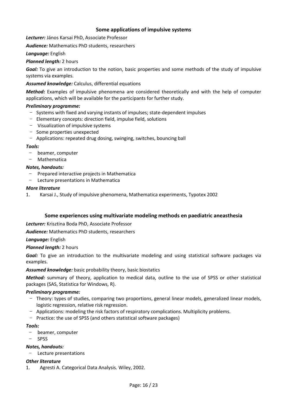#### **Some applications of impulsive systems**

*Lecturer:* János Karsai PhD, Associate Professor

*Audience:* Mathematics PhD students, researchers

#### *Language:* English

#### *Planned length:* 2 hours

*Goal:* To give an introduction to the notion, basic properties and some methods of the study of impulsive systems via examples.

#### *Assumed knowledge:* Calculus, differential equations

*Method:* Examples of impulsive phenomena are considered theoretically and with the help of computer applications, which will be available for the participants for further study.

#### *Preliminary programme:*

- − Systems with fixed and varying instants of impulses; state-dependent impulses
- − Elementary concepts: direction field, impulse field, solutions
- − Visualization of impulsive systems
- − Some properties unexpected
- − Applications: repeated drug dosing, swinging, switches, bouncing ball

#### *Tools:*

- − beamer, computer
- − Mathematica

#### *Notes, handouts:*

- − Prepared interactive projects in Mathematica
- − Lecture presentations in Mathematica

#### *More literature*

1. Karsai J., Study of impulsive phenomena, Mathematica experiments, Typotex 2002

#### **Some experiences using multivariate modeling methods en paediatric aneasthesia**

*Lecturer:* Krisztina Boda PhD, Associate Professor

*Audience:* Mathematics PhD students, researchers

*Language:* English

#### *Planned length:* 2 hours

**Goal:** To give an introduction to the multivariate modeling and using statistical software packages via examples.

#### *Assumed knowledge:* basic probability theory, basic biostatics

*Method:* summary of theory, application to medical data, outline to the use of SPSS or other statistical packages (SAS, Statistica for Windows, R).

#### *Preliminary programme:*

- − Theory: types of studies, comparing two proportions, general linear models, generalized linear models, logistic regression, relative risk regression.
- − Applications: modeling the risk factors of respiratory complications. Multiplicity problems.
- − Practice: the use of SPSS (and others statistical software packages)

#### *Tools:*

- − beamer, computer
- − SPSS

#### *Notes, handouts:*

− Lecture presentations

#### *Other literature*

1. Agresti A. Categorical Data Analysis. Wiley, 2002.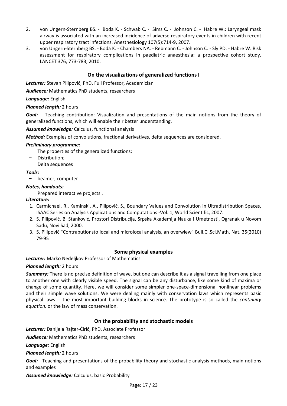- 2. von Ungern-Sternberg BS. Boda K. Schwab C. Sims C. Johnson C. Habre W.: Laryngeal mask airway is associated with an increased incidence of adverse respiratory events in children with recent upper respiratory tract infections. Anesthesiology 107(5):714-9, 2007.
- 3. von Ungern-Sternberg BS. Boda K. Chambers NA. Rebmann C. Johnson C. Sly PD. Habre W. Risk assessment for respiratory complications in paediatric anaesthesia: a prospective cohort study. LANCET 376, 773-783, 2010.

#### **On the visualizations of generalized functions I**

*Lecturer:* Stevan Pilipović, PhD, Full Professor, Academician

*Audience:* Mathematics PhD students, researchers

#### *Language:* English

#### *Planned length:* 2 hours

*Goal:* Teaching contribution: Visualization and presentations of the main notions from the theory of generalized functions, which will enable their better understanding.

*Assumed knowledge:* Calculus, functional analysis

*Method:* Examples of convolutions, fractional derivatives, delta sequences are considered.

#### *Preliminary programme:*

The properties of the generalized functions;

- Distribution;
- − Delta sequences

#### *Tools:*

− beamer, computer

#### *Notes, handouts:*

− Prepared interactive projects .

#### *Literature:*

- 1. Carmichael, R., Kaminski, A., Pilipović, S., Boundary Values and Convolution in Ultradistribution Spaces, ISAAC Series on Analysis Applications and Computations -Vol. 1, World Scientific, 2007.
- 2. S. Pilipović, B. Stanković, Prostori Distribucija, Srpska Akademija Nauka i Umetnosti, Ogranak u Novom Sadu, Novi Sad, 2000.
- 3. S. Pilipović "Contrabutionsto local and microlocal analysis, an overwiew" Bull.Cl.Sci.Math. Nat. 35(2010) 79-95

#### **Some physical examples**

*Lecturer:* Marko Nedeljkov Professor of Mathematics

#### *Planned length:* 2 hours

*Summary:* There is no precise definition of wave, but one can describe it as a signal travelling from one place to another one with clearly visible speed. The signal can be any disturbance, like some kind of maxima or change of some quantity. Here, we will consider some simpler one-space-dimensional nonlinear problems and their simple wave solutions. We were dealing mainly with conservation laws which represents basic physical laws -- the most important building blocks in science. The prototype is so called the *continuity equation,* or the law of mass conservation.

#### **On the probability and stochastic models**

*Lecturer:* Danijela Rajter-Ćirić, PhD, Associate Professor

*Audience:* Mathematics PhD students, researchers

*Language:* English

*Planned length:* 2 hours

*Goal:* Teaching and presentations of the probability theory and stochastic analysis methods, main notions and examples

*Assumed knowledge:* Calculus, basic Probability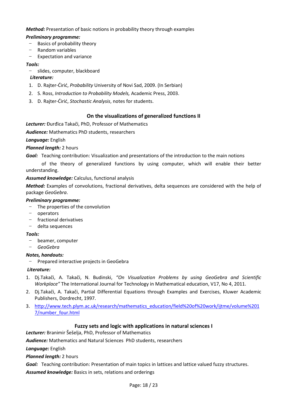*Method:* Presentation of basic notions in probability theory through examples

#### *Preliminary programme:*

- − Basics of probability theory
- − Random variables
- − Expectation and variance

#### *Tools:*

− slides, computer, blackboard

#### *Literature:*

- 1. D. Rajter-Ćirić, *Probability* University of Novi Sad, 2009. (In Serbian)
- 2. S. Ross, *Introduction to Probability Models,* Academic Press, 2003.
- 3. D. Rajter-Ćirić, *Stochastic Analysis*, notes for students.

#### **On the visualizations of generalized functions II**

*Lecturer:* Đurđica Takači, PhD, Professor of Mathematics

*Audience:* Mathematics PhD students, researchers

*Language:* English

#### *Planned length:* 2 hours

*Goal:* Teaching contribution: Visualization and presentations of the introduction to the main notions

 of the theory of generalized functions by using computer, which will enable their better understanding.

#### *Assumed knowledge:* Calculus, functional analysis

*Method:* Examples of convolutions, fractional derivatives, delta sequences are considered with the help of package *GeoGebra*.

#### *Preliminary programme:*

- − The properties of the convolution
- − operators
- − fractional derivatives
- − delta sequences

#### *Tools:*

- − beamer, computer
- − *GeoGebra*

### *Notes, handouts:*

− Prepared interactive projects in GeoGebra

#### *Literature:*

- 1. Dj.Takači, A. Takači, N. Budinski, *"On Visualization Problems by using GeoGebra and Scientific Workplace"* The International Journal for Technology in Mathematical education, V17, No 4, 2011.
- 2. Dj.Takači, A. Takači, Partial Differential Equations through Examples and Exercises, Kluwer Academic Publishers, Dordrecht, 1997.
- 3. http://www.tech.plym.ac.uk/research/mathematics\_education/field%20of%20work/ijtme/volume%201 7/number\_four.html

### **Fuzzy sets and logic with applications in natural sciences I**

*Lecturer:* Branimir Šešelja, PhD, Professor of Mathematics

*Audience:* Mathematics and Natural Sciences PhD students, researchers

*Language:* English

*Planned length:* 2 hours

*Goal:* Teaching contribution: Presentation of main topics in lattices and lattice valued fuzzy structures. *Assumed knowledge:* Basics in sets, relations and orderings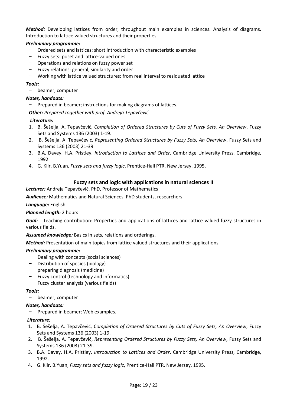*Method:* Developing lattices from order, throughout main examples in sciences. Analysis of diagrams. Introduction to lattice valued structures and their properties.

#### *Preliminary programme:*

- − Ordered sets and lattices: short introduction with characteristic examples
- − Fuzzy sets: poset and lattice-valued ones
- − Operations and relations on fuzzy power set
- − Fuzzy relations: general, similarity and order
- − Working with lattice valued structures: from real interval to residuated lattice

#### *Tools:*

− beamer, computer

#### *Notes, handouts:*

− Prepared in beamer; instructions for making diagrams of lattices.

*Other: Prepared together with prof. Andreja Tepavčević* 

#### *Literature:*

- 1. B. Šešelja, A. Tepavčević, *Completion of Ordered Structures by Cuts of Fuzzy Sets, An Overview*, Fuzzy Sets and Systems 136 (2003) 1-19.
- 2. B. Šešelja, A. Tepavčević, *Representing Ordered Structures by Fuzzy Sets, An Overview*, Fuzzy Sets and Systems 136 (2003) 21-39.
- 3. B.A. Davey, H.A. Pristley, *Introduction to Lattices and Order*, Cambridge University Press, Cambridge, 1992.
- 4. G. Klir, B.Yuan, *Fuzzy sets and fuzzy logic*, Prentice-Hall PTR, New Jersey, 1995.

#### **Fuzzy sets and logic with applications in natural sciences II**

*Lecturer:* Andreja Tepavčević, PhD, Professor of Mathematics

*Audience:* Mathematics and Natural Sciences PhD students, researchers

#### *Language:* English

#### *Planned length:* 2 hours

*Goal:* Teaching contribution: Properties and applications of lattices and lattice valued fuzzy structures in various fields.

*Assumed knowledge:* Basics in sets, relations and orderings.

*Method:* Presentation of main topics from lattice valued structures and their applications.

#### *Preliminary programme:*

- − Dealing with concepts (social sciences)
- − Distribution of species (biology)
- − preparing diagnosis (medicine)
- − Fuzzy control (technology and informatics)
- − Fuzzy cluster analysis (various fields)

#### *Tools:*

− beamer, computer

#### *Notes, handouts:*

− Prepared in beamer; Web examples.

#### *Literature:*

- 1. B. Šešelja, A. Tepavčević, *Completion of Ordered Structures by Cuts of Fuzzy Sets, An Overview*, Fuzzy Sets and Systems 136 (2003) 1-19.
- 2. B. Šešelja, A. Tepavčević, *Representing Ordered Structures by Fuzzy Sets, An Overview*, Fuzzy Sets and Systems 136 (2003) 21-39.
- 3. B.A. Davey, H.A. Pristley, *Introduction to Lattices and Order*, Cambridge University Press, Cambridge, 1992.
- 4. G. Klir, B.Yuan, *Fuzzy sets and fuzzy logic*, Prentice-Hall PTR, New Jersey, 1995.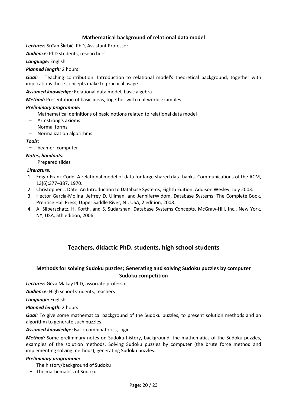#### **Mathematical background of relational data model**

*Lecturer:* Srđan Škrbić, PhD, Assistant Professor

*Audience:* PhD students, researchers

*Language:* English

#### *Planned length:* 2 hours

*Goal:* Teaching contribution: Introduction to relational model's theoretical background, together with implications these concepts make to practical usage.

*Assumed knowledge:* Relational data model, basic algebra

*Method:* Presentation of basic ideas, together with real-world examples.

#### *Preliminary programme:*

- − Mathematical definitions of basic notions related to relational data model
- − Armstrong's axioms
- − Normal forms
- − Normalization algorithms

#### *Tools:*

− beamer, computer

#### *Notes, handouts:*

− Prepared slides

#### *Literature:*

- 1. Edgar Frank Codd. A relational model of data for large shared data banks. Communications of the ACM, 13(6):377–387, 1970.
- 2. Christopher J. Date. An Introduction to Database Systems, Eighth Edition. Addison Wesley, July 2003.
- 3. Hector Garcia-Molina, Jeffrey D. Ullman, and JenniferWidom. Database Systems: The Complete Book. Prentice Hall Press, Upper Saddle River, NJ, USA, 2 edition, 2008.
- 4. A. Silberschatz, H. Korth, and S. Sudarshan. Database Systems Concepts. McGraw-Hill, Inc., New York, NY, USA, 5th edition, 2006.

## **Teachers, didactic PhD. students, high school students**

#### **Methods for solving Sudoku puzzles; Generating and solving Sudoku puzzles by computer Sudoku competition**

*Lecturer:* Géza Makay PhD, associate professor

*Audience:* High school students, teachers

*Language:* English

*Planned length:* 2 hours

Goal: To give some mathematical background of the Sudoku puzzles, to present solution methods and an algorithm to generate such puzzles.

#### *Assumed knowledge:* Basic combinatorics, logic

*Method:* Some preliminary notes on Sudoku history, background, the mathematics of the Sudoku puzzles, examples of the solution methods. Solving Sudoku puzzles by computer (the brute force method and implementing solving methods), generating Sudoku puzzles.

#### *Preliminary programme:*

- − The history/background of Sudoku
- − The mathematics of Sudoku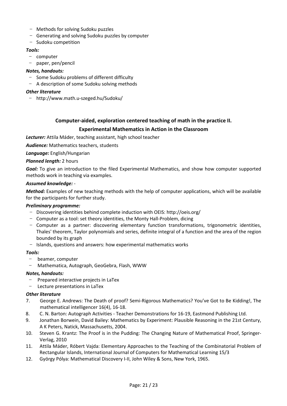- − Methods for solving Sudoku puzzles
- − Generating and solving Sudoku puzzles by computer
- − Sudoku competition

#### *Tools:*

- − computer
- − paper, pen/pencil

#### *Notes, handouts:*

- − Some Sudoku problems of different difficulty
- − A description of some Sudoku solving methods

#### *Other literature*

− http://www.math.u-szeged.hu/Sudoku/

## **Computer-aided, exploration centered teaching of math in the practice II. Experimental Mathematics in Action in the Classroom**

*Lecturer:* Attila Máder, teaching assistant, high school teacher

*Audience:* Mathematics teachers, students

*Language:* English/Hungarian

#### *Planned length:* 2 hours

*Goal:* To give an introduction to the filed Experimental Mathematics, and show how computer supported methods work in teaching via examples.

#### *Assumed knowledge:* -

*Method:* Examples of new teaching methods with the help of computer applications, which will be available for the participants for further study.

#### *Preliminary programme:*

- − Discovering identities behind complete induction with OEIS: http://oeis.org/
- − Computer as a tool: set theory identities, the Monty Hall-Problem, dicing
- − Computer as a partner: discovering elementary function transformations, trigonometric identities, Thales' theorem, Taylor polynomials and series, definite integral of a function and the area of the region bounded by its graph
- − Islands, questions and answers: how experimental mathematics works

#### *Tools:*

- − beamer, computer
- − Mathematica, Autograph, GeoGebra, Flash, WWW

#### *Notes, handouts:*

- − Prepared interactive projects in LaTex
- − Lecture presentations in LaTex

#### *Other literature*

- 7. George E. Andrews: The Death of proof? Semi-Rigorous Mathematics? You've Got to Be Kidding!, The mathematical intelligencer 16(4), 16-18.
- 8. C. N. Barton: Autograph Activities Teacher Demonstrations for 16-19, Eastmond Publishing Ltd.
- 9. Jonathan Borwein, David Bailey: Mathematics by Experiment: Plausible Reasoning in the 21st Century, A K Peters, Natick, Massachusetts, 2004.
- 10. Steven G. Krantz: The Proof is in the Pudding: The Changing Nature of Mathematical Proof, Springer-Verlag, 2010
- 11. Attila Máder, Róbert Vajda: Elementary Approaches to the Teaching of the Combinatorial Problem of Rectangular Islands, International Journal of Computers for Mathematical Learning 15/3
- 12. György Pólya: Mathematical Discovery I-II, John Wiley & Sons, New York, 1965.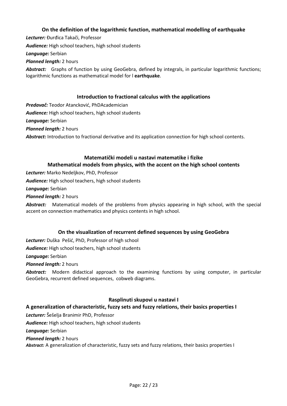#### **On the definition of the logarithmic function, mathematical modelling of earthquake**

*Lecturer:* Đurđica Takači, Professor *Audience:* High school teachers, high school students *Language:* Serbian *Planned length:* 2 hours *Abstract:* Graphs of function by using GeoGebra, defined by integrals, in particular logarithmic functions; logarithmic functions as mathematical model for l **earthquake**.

#### **Introduction to fractional calculus with the applications**

*Predavač:* Teodor Atancković, PhDAcademician *Audience:* High school teachers, high school students *Language:* Serbian *Planned length:* 2 hours Abstract: Introduction to fractional derivative and its application connection for high school contents.

## **Matematički modeli u nastavi matematike i fizike Mathematical models from physics, with the accent on the high school contents**

*Lecturer:* Marko Nedeljkov, PhD, Professor

*Audience:* High school teachers, high school students

*Language:* Serbian

*Planned length:* 2 hours

*Abstract:* Matematical models of the problems from physics appearing in high school, with the special accent on connection mathematics and physics contents in high school.

#### **On the visualization of recurrent defined sequences by using GeoGebra**

*Lecturer:* Duška Pešić, PhD, Professor of high school

*Audience:* High school teachers, high school students

*Language:* Serbian

*Planned length:* 2 hours

*Abstract:* Modern didactical approach to the examining functions by using computer, in particular GeoGebra, recurrent defined sequences, cobweb diagrams.

#### **Rasplinuti skupovi u nastavi I**

#### **A generalization of characteristic, fuzzy sets and fuzzy relations, their basics properties I**

*Lecturer:* Šešelja Branimir PhD, Professor

*Audience:* High school teachers, high school students

*Language:* Serbian

#### *Planned length:* 2 hours

*Abstract:* A generalization of characteristic, fuzzy sets and fuzzy relations, their basics properties I